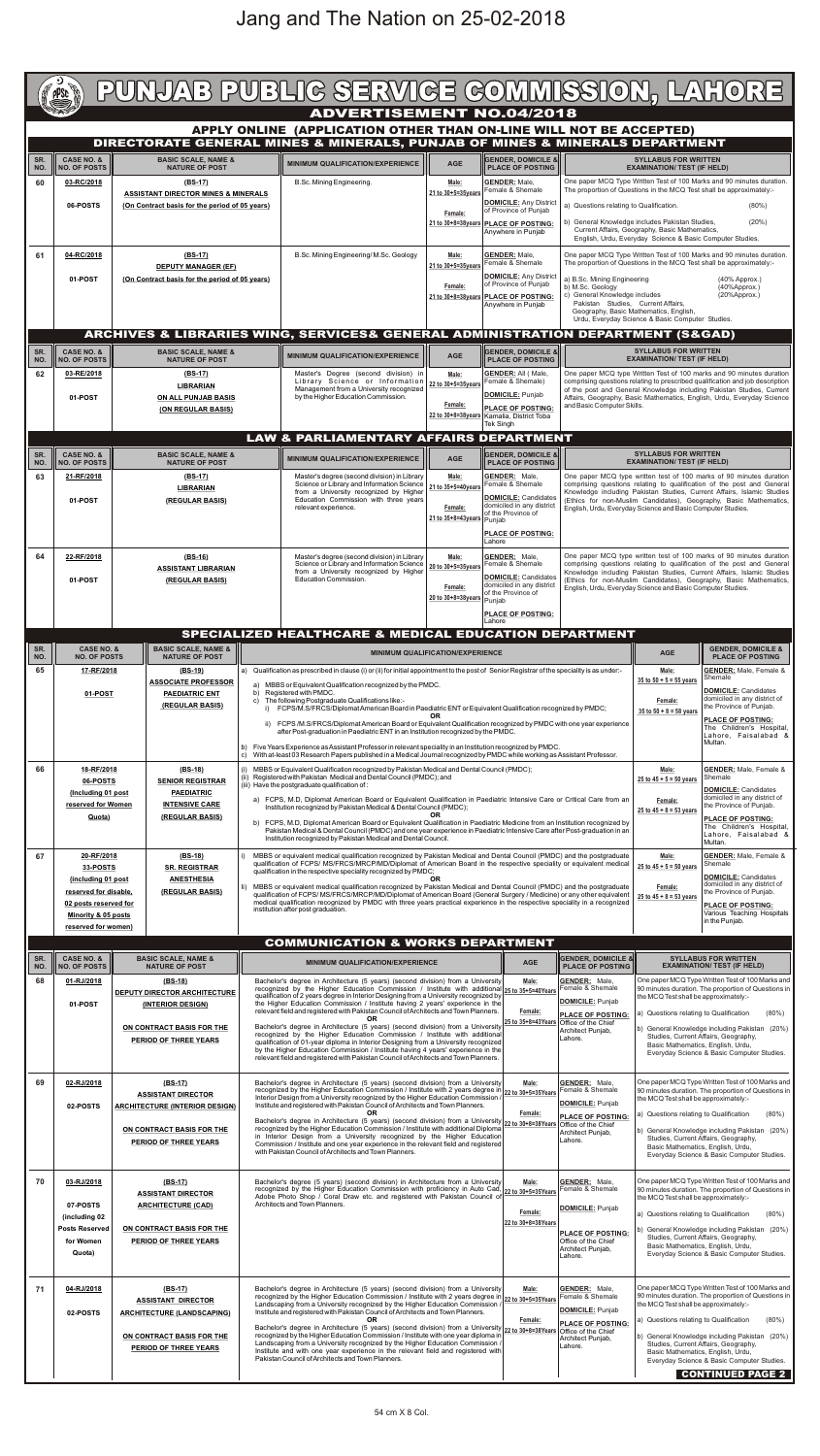| PUNJAB PUBLIC SERVICE COMMISSION, LAHORE<br><b>ADVERTISEMENT NO.04/2018</b><br>APPLY ONLINE (APPLICATION OTHER THAN ON-LINE WILL NOT BE ACCEPTED) |                                                                                                                                                           |                                                                                                                                                                          |                                                                                                                                                                                                                                                                                                                                                                                                                                                                                                                                                                                                                                                                                                                                                                                  |                                                                                                                                                                                                                                                                                                                                                                                                                                                                                                                                                                                                                                                                                                                                                                                                                                                                                          |                                                                                                                                                                                                                                                                                                                                                                                                                                                                                                                                                                                                                                                                                                                                                                                                                                                                                            |                                                                                                                                                                                                                                                                                                                                                                                                                                                                                                                                                                                                                                                                                                  |                                                                                                                                                                                                                                        |                                                                                                                                                                                                                                                                                                                                                                                                                                                                                             |                                                                                                                                                                                                                                                                                                                            |                                                                                                                                                                                                                                                                                                                                       |  |  |
|---------------------------------------------------------------------------------------------------------------------------------------------------|-----------------------------------------------------------------------------------------------------------------------------------------------------------|--------------------------------------------------------------------------------------------------------------------------------------------------------------------------|----------------------------------------------------------------------------------------------------------------------------------------------------------------------------------------------------------------------------------------------------------------------------------------------------------------------------------------------------------------------------------------------------------------------------------------------------------------------------------------------------------------------------------------------------------------------------------------------------------------------------------------------------------------------------------------------------------------------------------------------------------------------------------|------------------------------------------------------------------------------------------------------------------------------------------------------------------------------------------------------------------------------------------------------------------------------------------------------------------------------------------------------------------------------------------------------------------------------------------------------------------------------------------------------------------------------------------------------------------------------------------------------------------------------------------------------------------------------------------------------------------------------------------------------------------------------------------------------------------------------------------------------------------------------------------|--------------------------------------------------------------------------------------------------------------------------------------------------------------------------------------------------------------------------------------------------------------------------------------------------------------------------------------------------------------------------------------------------------------------------------------------------------------------------------------------------------------------------------------------------------------------------------------------------------------------------------------------------------------------------------------------------------------------------------------------------------------------------------------------------------------------------------------------------------------------------------------------|--------------------------------------------------------------------------------------------------------------------------------------------------------------------------------------------------------------------------------------------------------------------------------------------------------------------------------------------------------------------------------------------------------------------------------------------------------------------------------------------------------------------------------------------------------------------------------------------------------------------------------------------------------------------------------------------------|----------------------------------------------------------------------------------------------------------------------------------------------------------------------------------------------------------------------------------------|---------------------------------------------------------------------------------------------------------------------------------------------------------------------------------------------------------------------------------------------------------------------------------------------------------------------------------------------------------------------------------------------------------------------------------------------------------------------------------------------|----------------------------------------------------------------------------------------------------------------------------------------------------------------------------------------------------------------------------------------------------------------------------------------------------------------------------|---------------------------------------------------------------------------------------------------------------------------------------------------------------------------------------------------------------------------------------------------------------------------------------------------------------------------------------|--|--|
| <b>DIRECTORATE GENERAL MINES &amp; MINERALS, PUNJAB OF MINES &amp; MINERALS DEPARTMENT</b>                                                        |                                                                                                                                                           |                                                                                                                                                                          |                                                                                                                                                                                                                                                                                                                                                                                                                                                                                                                                                                                                                                                                                                                                                                                  |                                                                                                                                                                                                                                                                                                                                                                                                                                                                                                                                                                                                                                                                                                                                                                                                                                                                                          |                                                                                                                                                                                                                                                                                                                                                                                                                                                                                                                                                                                                                                                                                                                                                                                                                                                                                            |                                                                                                                                                                                                                                                                                                                                                                                                                                                                                                                                                                                                                                                                                                  |                                                                                                                                                                                                                                        |                                                                                                                                                                                                                                                                                                                                                                                                                                                                                             |                                                                                                                                                                                                                                                                                                                            |                                                                                                                                                                                                                                                                                                                                       |  |  |
| SR.<br>NO.<br>60                                                                                                                                  | <b>CASE NO. &amp;</b><br><b>NO. OF POSTS</b><br>03-RC/2018<br>06-POSTS                                                                                    | <b>BASIC SCALE, NAME &amp;</b><br><b>NATURE OF POST</b><br>$(BS-17)$<br><b>ASSISTANT DIRECTOR MINES &amp; MINERALS</b><br>(On Contract basis for the period of 05 years) |                                                                                                                                                                                                                                                                                                                                                                                                                                                                                                                                                                                                                                                                                                                                                                                  |                                                                                                                                                                                                                                                                                                                                                                                                                                                                                                                                                                                                                                                                                                                                                                                                                                                                                          | <b>MINIMUM QUALIFICATION/EXPERIENCE</b><br>B.Sc. Mining Engineering.                                                                                                                                                                                                                                                                                                                                                                                                                                                                                                                                                                                                                                                                                                                                                                                                                       | <b>AGE</b><br>Male:<br>21 to 30+5=35years<br>Female:                                                                                                                                                                                                                                                                                                                                                                                                                                                                                                                                                                                                                                             | <b>GENDER, DOMICILE &amp;</b><br><b>PLACE OF POSTING</b><br><b>GENDER: Male.</b><br>Female & Shemale<br>DOMICILE: Any District<br>of Province of Punjab<br>21 to 30+8=38years PLACE OF POSTING:<br>Anywhere in Punjab                  | a) Questions relating to Qualification.<br>b) General Knowledge includes Pakistan Studies,                                                                                                                                                                                                                                                                                                                                                                                                  | <b>SYLLABUS FOR WRITTEN</b><br><b>EXAMINATION/ TEST (IF HELD)</b><br>Current Affairs, Geography, Basic Mathematics,                                                                                                                                                                                                        | One paper MCQ Type Written Test of 100 Marks and 90 minutes duration.<br>The proportion of Questions in the MCQ Test shall be approximately:-<br>$(80\%)$<br>(20%)                                                                                                                                                                    |  |  |
| 61                                                                                                                                                | 04-RC/2018<br>01-POST                                                                                                                                     | $(BS-17)$<br><b>DEPUTY MANAGER (EF)</b><br>(On Contract basis for the period of 05 years)                                                                                |                                                                                                                                                                                                                                                                                                                                                                                                                                                                                                                                                                                                                                                                                                                                                                                  |                                                                                                                                                                                                                                                                                                                                                                                                                                                                                                                                                                                                                                                                                                                                                                                                                                                                                          | B.Sc. Mining Engineering/M.Sc. Geology<br>Male:<br>21 to 30+5=35years<br>Female:                                                                                                                                                                                                                                                                                                                                                                                                                                                                                                                                                                                                                                                                                                                                                                                                           |                                                                                                                                                                                                                                                                                                                                                                                                                                                                                                                                                                                                                                                                                                  | <b>GENDER: Male.</b><br>Female & Shemale<br><b>DOMICILE: Any District</b><br>of Province of Punjab<br>21 to 30+8=38years   PLACE OF POSTING:<br>Anywhere in Punjab                                                                     | English, Urdu, Everyday Science & Basic Computer Studies.<br>One paper MCQ Type Written Test of 100 Marks and 90 minutes duration.<br>The proportion of Questions in the MCQ Test shall be approximately:-<br>a) B.Sc. Mining Engineering<br>$(40%$ Approx.)<br>b) M.Sc. Geology<br>$(40%$ Approx.)<br>c) General Knowledge includes<br>$(20%$ Approx.)<br>Pakistan Studies, Current Affairs,<br>Geography, Basic Mathematics, English,<br>Urdu, Everyday Science & Basic Computer Studies. |                                                                                                                                                                                                                                                                                                                            |                                                                                                                                                                                                                                                                                                                                       |  |  |
|                                                                                                                                                   |                                                                                                                                                           |                                                                                                                                                                          |                                                                                                                                                                                                                                                                                                                                                                                                                                                                                                                                                                                                                                                                                                                                                                                  |                                                                                                                                                                                                                                                                                                                                                                                                                                                                                                                                                                                                                                                                                                                                                                                                                                                                                          | <b>ARCHIVES &amp; LIBRARIES WING, SERVICES&amp; GENERAL ADMINISTRATION DEPARTMENT (S&amp;GAD)</b>                                                                                                                                                                                                                                                                                                                                                                                                                                                                                                                                                                                                                                                                                                                                                                                          |                                                                                                                                                                                                                                                                                                                                                                                                                                                                                                                                                                                                                                                                                                  |                                                                                                                                                                                                                                        |                                                                                                                                                                                                                                                                                                                                                                                                                                                                                             |                                                                                                                                                                                                                                                                                                                            |                                                                                                                                                                                                                                                                                                                                       |  |  |
| SR.<br>NO.<br>62                                                                                                                                  | <b>CASE NO. &amp;</b><br><b>NO. OF POSTS</b><br>03-RE/2018<br>01-POST                                                                                     |                                                                                                                                                                          | <b>BASIC SCALE, NAME &amp;</b><br><b>NATURE OF POST</b><br>(BS-17)<br><b>LIBRARIAN</b><br><b>ON ALL PUNJAB BASIS</b><br>(ON REGULAR BASIS)                                                                                                                                                                                                                                                                                                                                                                                                                                                                                                                                                                                                                                       |                                                                                                                                                                                                                                                                                                                                                                                                                                                                                                                                                                                                                                                                                                                                                                                                                                                                                          | <b>MINIMUM QUALIFICATION/EXPERIENCE</b><br>Master's Degree (second division) in<br>Library Science or Information<br>Management from a University recognized<br>by the Higher Education Commission.                                                                                                                                                                                                                                                                                                                                                                                                                                                                                                                                                                                                                                                                                        | <b>AGE</b><br>Male:<br>22 to 30+5=35years<br>Female:                                                                                                                                                                                                                                                                                                                                                                                                                                                                                                                                                                                                                                             | <b>GENDER. DOMICILE &amp;II</b><br><b>PLACE OF POSTING</b><br><b>GENDER: All (Male,</b><br>Female & Shemale)<br><b>DOMICILE: Punjab</b><br><b>PLACE OF POSTING:</b><br>22 to 30+8=38years   Kamalia, District Toba<br><b>Tek Singh</b> | <b>SYLLABUS FOR WRITTEN</b><br><b>EXAMINATION/ TEST (IF HELD)</b><br>One paper MCQ type Written Test of 100 marks and 90 minutes duration<br>comprising questions relating to prescribed qualification and job description<br>of the post and General Knowledge including Pakistan Studies, Current<br>Affairs, Geography, Basic Mathematics, English, Urdu, Everyday Science<br>and Basic Computer Skills.                                                                                 |                                                                                                                                                                                                                                                                                                                            |                                                                                                                                                                                                                                                                                                                                       |  |  |
| SR.                                                                                                                                               | <b>CASE NO. &amp;</b>                                                                                                                                     |                                                                                                                                                                          | <b>BASIC SCALE, NAME &amp;</b>                                                                                                                                                                                                                                                                                                                                                                                                                                                                                                                                                                                                                                                                                                                                                   |                                                                                                                                                                                                                                                                                                                                                                                                                                                                                                                                                                                                                                                                                                                                                                                                                                                                                          | <b>LAW &amp; PARLIAMENTARY AFFAIRS DEPARTMENT</b><br><b>IIGENDER. DOMICILE &amp;II</b>                                                                                                                                                                                                                                                                                                                                                                                                                                                                                                                                                                                                                                                                                                                                                                                                     |                                                                                                                                                                                                                                                                                                                                                                                                                                                                                                                                                                                                                                                                                                  |                                                                                                                                                                                                                                        |                                                                                                                                                                                                                                                                                                                                                                                                                                                                                             | <b>SYLLABUS FOR WRITTEN</b>                                                                                                                                                                                                                                                                                                |                                                                                                                                                                                                                                                                                                                                       |  |  |
| NO.<br>63                                                                                                                                         | <b>NO. OF POSTS</b><br>21-RF/2018<br>01-POST                                                                                                              |                                                                                                                                                                          | <b>NATURE OF POST</b><br>$(BS-17)$<br>LIBRARIAN<br>(REGULAR BASIS)                                                                                                                                                                                                                                                                                                                                                                                                                                                                                                                                                                                                                                                                                                               |                                                                                                                                                                                                                                                                                                                                                                                                                                                                                                                                                                                                                                                                                                                                                                                                                                                                                          | <b>MINIMUM QUALIFICATION/EXPERIENCE</b><br>Master's degree (second division) in Library<br>Science or Library and Information Science<br>from a University recognized by Higher<br>Education Commission with three years<br>relevant experience.                                                                                                                                                                                                                                                                                                                                                                                                                                                                                                                                                                                                                                           | <b>AGE</b><br>Male:<br>21 to 35+5=40years<br>Female:<br>21 to 35+8=43years                                                                                                                                                                                                                                                                                                                                                                                                                                                                                                                                                                                                                       | <b>PLACE OF POSTING</b><br><b>GENDER: Male,</b><br>Female & Shemale<br><b>DOMICILE: Candidates</b><br>domiciled in any district<br>of the Province of<br>Puniab<br><b>PLACE OF POSTING:</b><br>Lahore                                  | <b>EXAMINATION/ TEST (IF HELD)</b><br>One paper MCQ type written test of 100 marks of 90 minutes duration<br>comprising questions relating to qualification of the post and General<br>Knowledge including Pakistan Studies, Current Affairs, Islamic Studies<br>(Ethics for non-Muslim Candidates), Geography, Basic Mathematics,<br>English, Urdu, Everyday Science and Basic Computer Studies.                                                                                           |                                                                                                                                                                                                                                                                                                                            |                                                                                                                                                                                                                                                                                                                                       |  |  |
| 64                                                                                                                                                | 22-RF/2018<br>01-POST                                                                                                                                     |                                                                                                                                                                          | $(BS-16)$<br><b>ASSISTANT LIBRARIAN</b><br>(REGULAR BASIS)                                                                                                                                                                                                                                                                                                                                                                                                                                                                                                                                                                                                                                                                                                                       |                                                                                                                                                                                                                                                                                                                                                                                                                                                                                                                                                                                                                                                                                                                                                                                                                                                                                          | Master's degree (second division) in Library<br>Science or Library and Information Science<br>from a University recognized by Higher<br><b>Education Commission.</b>                                                                                                                                                                                                                                                                                                                                                                                                                                                                                                                                                                                                                                                                                                                       | Male:<br>20 to 30+5=35years<br>Female:<br>20 to 30+8=38years                                                                                                                                                                                                                                                                                                                                                                                                                                                                                                                                                                                                                                     | <b>GENDER: Male,</b><br>Female & Shemale<br><b>DOMICILE:</b> Candidates<br>domiciled in any district<br>of the Province of<br>Punjab<br><b>PLACE OF POSTING:</b><br>Lahore                                                             | One paper MCQ type written test of 100 marks of 90 minutes duration<br>comprising questions relating to qualification of the post and General<br>Knowledge including Pakistan Studies, Current Affairs, Islamic Studies<br>(Ethics for non-Muslim Candidates), Geography, Basic Mathematics,<br>English, Urdu, Everyday Science and Basic Computer Studies.                                                                                                                                 |                                                                                                                                                                                                                                                                                                                            |                                                                                                                                                                                                                                                                                                                                       |  |  |
|                                                                                                                                                   |                                                                                                                                                           |                                                                                                                                                                          |                                                                                                                                                                                                                                                                                                                                                                                                                                                                                                                                                                                                                                                                                                                                                                                  |                                                                                                                                                                                                                                                                                                                                                                                                                                                                                                                                                                                                                                                                                                                                                                                                                                                                                          | SPECIALIZED HEALTHCARE & MEDICAL EDUCATION DEPARTMENT                                                                                                                                                                                                                                                                                                                                                                                                                                                                                                                                                                                                                                                                                                                                                                                                                                      |                                                                                                                                                                                                                                                                                                                                                                                                                                                                                                                                                                                                                                                                                                  |                                                                                                                                                                                                                                        |                                                                                                                                                                                                                                                                                                                                                                                                                                                                                             |                                                                                                                                                                                                                                                                                                                            |                                                                                                                                                                                                                                                                                                                                       |  |  |
| SR.<br>NO.                                                                                                                                        | <b>CASE NO. &amp;</b><br><b>NO. OF POSTS</b>                                                                                                              |                                                                                                                                                                          | <b>BASIC SCALE, NAME &amp;</b><br><b>NATURE OF POST</b>                                                                                                                                                                                                                                                                                                                                                                                                                                                                                                                                                                                                                                                                                                                          |                                                                                                                                                                                                                                                                                                                                                                                                                                                                                                                                                                                                                                                                                                                                                                                                                                                                                          |                                                                                                                                                                                                                                                                                                                                                                                                                                                                                                                                                                                                                                                                                                                                                                                                                                                                                            | <b>MINIMUM QUALIFICATION/EXPERIENCE</b>                                                                                                                                                                                                                                                                                                                                                                                                                                                                                                                                                                                                                                                          |                                                                                                                                                                                                                                        |                                                                                                                                                                                                                                                                                                                                                                                                                                                                                             | <b>AGE</b><br>Male:                                                                                                                                                                                                                                                                                                        | <b>GENDER, DOMICILE &amp;</b><br><b>PLACE OF POSTING</b>                                                                                                                                                                                                                                                                              |  |  |
| 65                                                                                                                                                |                                                                                                                                                           | 17-RF/2018<br>$(BS-19)$<br><b>ASSOCIATE PROFESSOR</b><br>01-POST<br><b>PAEDIATRIC ENT</b><br>(REGULAR BASIS)                                                             |                                                                                                                                                                                                                                                                                                                                                                                                                                                                                                                                                                                                                                                                                                                                                                                  | a) Qualification as prescribed in clause (i) or (ii) for initial appointment to the post of Senior Registrar of the speciality is as under:-<br>MBBS or Equivalent Qualification recognized by the PMDC.<br>a)<br>Registered with PMDC.<br>b)<br>The following Postgraduate Qualifications like:-<br>C)<br>FCPS/M.S/FRCS/Diplomat American Board in Paediatric ENT or Equivalent Qualification recognized by PMDC;<br>i)<br>OR<br>FCPS /M.S/FRCS/Diplomat American Board or Equivalent Qualification recognized by PMDC with one year experience<br>ii)<br>after Post-graduation in Paediatric ENT in an Institution recognized by the PMDC.<br>b) Five Years Experience as Assistant Professor in relevant speciality in an Institution recognized by PMDC.<br>With at-least 03 Research Papers published in a Medical Journal recognized by PMDC while working as Assistant Professor. |                                                                                                                                                                                                                                                                                                                                                                                                                                                                                                                                                                                                                                                                                                                                                                                                                                                                                            |                                                                                                                                                                                                                                                                                                                                                                                                                                                                                                                                                                                                                                                                                                  |                                                                                                                                                                                                                                        |                                                                                                                                                                                                                                                                                                                                                                                                                                                                                             |                                                                                                                                                                                                                                                                                                                            | <b>GENDER:</b> Male, Female &<br>Shemale<br>DOMICILE: Candidates<br>domiciled in any district of<br>the Province of Punjab.<br><b>PLACE OF POSTING:</b><br>The Children's Hospital,<br>Lahore. Faisalabad &<br>Multan.                                                                                                                |  |  |
| 66                                                                                                                                                | 18-RF/2018<br>06-POSTS<br>(Including 01 post<br>reserved for Women<br>Quota)                                                                              |                                                                                                                                                                          | $(BS-18)$<br><b>SENIOR REGISTRAR</b><br><b>PAEDIATRIC</b><br><b>INTENSIVE CARE</b><br>(REGULAR BASIS)                                                                                                                                                                                                                                                                                                                                                                                                                                                                                                                                                                                                                                                                            |                                                                                                                                                                                                                                                                                                                                                                                                                                                                                                                                                                                                                                                                                                                                                                                                                                                                                          | (i) MBBS or Equivalent Qualification recognized by Pakistan Medical and Dental Council (PMDC);<br>(ii) Registered with Pakistan Medical and Dental Council (PMDC); and<br>(iii) Have the postgraduate qualification of:<br>a) FCPS, M.D, Diplomat American Board or Equivalent Qualification in Paediatric Intensive Care or Critical Care from an<br>Institution recognized by Pakistan Medical & Dental Council (PMDC);<br>b) FCPS, M.D, Diplomat American Board or Equivalent Qualification in Paediatric Medicine from an Institution recognized by<br>Pakistan Medical & Dental Council (PMDC) and one year experience in Paediatric Intensive Care after Post-graduation in an<br>Institution recognized by Pakistan Medical and Dental Council.                                                                                                                                     |                                                                                                                                                                                                                                                                                                                                                                                                                                                                                                                                                                                                                                                                                                  |                                                                                                                                                                                                                                        | Male:<br>25 to $45 + 5 = 50$ years<br>Female:<br>25 to $45 + 8 = 53$ years                                                                                                                                                                                                                                                                                                                                                                                                                  | <b>GENDER:</b> Male, Female &<br>Shemale<br><b>DOMICILE: Candidates</b><br>domiciled in any district of<br>the Province of Punjab.<br><b>PLACE OF POSTING:</b><br>The Children's Hospital,<br>Lahore, Faisalabad &<br>Multan.                                                                                              |                                                                                                                                                                                                                                                                                                                                       |  |  |
| 67                                                                                                                                                | 20-RF/2018<br>33-POSTS<br>(including 01 post<br>reserved for disable.<br>02 posts reserved for<br>Minority & 05 posts<br>reserved for women)              |                                                                                                                                                                          | $(BS-18)$<br><b>SR. REGISTRAR</b><br><b>ANESTHESIA</b><br>(REGULAR BASIS)                                                                                                                                                                                                                                                                                                                                                                                                                                                                                                                                                                                                                                                                                                        |                                                                                                                                                                                                                                                                                                                                                                                                                                                                                                                                                                                                                                                                                                                                                                                                                                                                                          | qualification in the respective speciality recognized by PMDC;<br>institution after post graduation.                                                                                                                                                                                                                                                                                                                                                                                                                                                                                                                                                                                                                                                                                                                                                                                       | MBBS or equivalent medical qualification recognized by Pakistan Medical and Dental Council (PMDC) and the postgraduate<br>qualification of FCPS/ MS/FRCS/MRCP/MD/Diplomat of American Board in the respective speciality or equivalent medical<br><b>OR</b><br>Ii) MBBS or equivalent medical qualification recognized by Pakistan Medical and Dental Council (PMDC) and the postgraduate<br>qualification of FCPS/MS/FRCS/MRCP/MD/Diplomat of American Board (General Surgery / Medicine) or any other equivalent<br>medical qualification recognized by PMDC with three years practical experience in the respective speciality in a recognized<br><b>COMMUNICATION &amp; WORKS DEPARTMENT</b> |                                                                                                                                                                                                                                        |                                                                                                                                                                                                                                                                                                                                                                                                                                                                                             | Male:<br>25 to $45 + 5 = 50$ years<br>Female:<br>25 to $45 + 8 = 53$ years                                                                                                                                                                                                                                                 | <b>GENDER:</b> Male, Female &<br>Shemale<br><b>DOMICILE: Candidates</b><br>domiciled in any district of<br>the Province of Punjab.<br>PLACE OF POSTING:<br>Various Teaching Hospitals<br>in the Punjab.                                                                                                                               |  |  |
| SR.                                                                                                                                               | <b>CASE NO. &amp;</b>                                                                                                                                     |                                                                                                                                                                          | <b>BASIC SCALE, NAME &amp;</b>                                                                                                                                                                                                                                                                                                                                                                                                                                                                                                                                                                                                                                                                                                                                                   |                                                                                                                                                                                                                                                                                                                                                                                                                                                                                                                                                                                                                                                                                                                                                                                                                                                                                          | <b>MINIMUM QUALIFICATION/EXPERIENCE</b>                                                                                                                                                                                                                                                                                                                                                                                                                                                                                                                                                                                                                                                                                                                                                                                                                                                    |                                                                                                                                                                                                                                                                                                                                                                                                                                                                                                                                                                                                                                                                                                  | <b>AGE</b>                                                                                                                                                                                                                             | <b>GENDER, DOMICILE &amp;</b>                                                                                                                                                                                                                                                                                                                                                                                                                                                               |                                                                                                                                                                                                                                                                                                                            | <b>SYLLABUS FOR WRITTEN</b>                                                                                                                                                                                                                                                                                                           |  |  |
| NO.<br>68                                                                                                                                         | <b>NO. OF POSTS</b><br>01-RJ/2018<br>01-POST                                                                                                              |                                                                                                                                                                          | <b>NATURE OF POST</b><br>$(BS-18)$<br><b>DEPUTY DIRECTOR ARCHITECTURE</b><br>(INTERIOR DESIGN)<br>ON CONTRACT BASIS FOR THE<br>PERIOD OF THREE YEARS                                                                                                                                                                                                                                                                                                                                                                                                                                                                                                                                                                                                                             |                                                                                                                                                                                                                                                                                                                                                                                                                                                                                                                                                                                                                                                                                                                                                                                                                                                                                          | Bachelor's degree in Architecture (5 years) (second division) from a University<br>recognized by the Higher Education Commission / Institute with additional 25 to 35+5=40Years<br>qualification of 2 years degree in Interior Designing from a University recognized by<br>the Higher Education Commission / Institute having 2 years' experience in the<br>relevant field and registered with Pakistan Council of Architects and Town Planners.<br>OR<br>Bachelor's degree in Architecture (5 years) (second division) from a University<br>recognized by the Higher Education Commission / Institute with additional<br>qualification of 01-year diploma in Interior Designing from a University recognized<br>by the Higher Education Commission / Institute having 4 years' experience in the<br>relevant field and registered with Pakistan Council of Architects and Town Planners. |                                                                                                                                                                                                                                                                                                                                                                                                                                                                                                                                                                                                                                                                                                  | Male:<br>Female:<br>25 to 35+8=43Years                                                                                                                                                                                                 | <b>PLACE OF POSTING</b><br><b>GENDER: Male,</b><br>Female & Shemale<br><b>DOMICILE:</b> Punjab<br><b>PLACE OF POSTING:</b><br>Office of the Chief<br>Architect Punjab,<br>Lahore.                                                                                                                                                                                                                                                                                                           | the MCQ Test shall be approximately:-<br>a) Questions relating to Qualification                                                                                                                                                                                                                                            | <b>EXAMINATION/ TEST (IF HELD)</b><br>One paper MCQ Type Written Test of 100 Marks and<br>90 minutes duration. The proportion of Questions in<br>$(80\%)$<br>b) General Knowledge including Pakistan (20%)<br>Studies, Current Affairs, Geography,<br>Basic Mathematics, English, Urdu,<br>Everyday Science & Basic Computer Studies. |  |  |
| 69                                                                                                                                                | 02-RJ/2018<br>02-POSTS                                                                                                                                    |                                                                                                                                                                          | (BS-17)<br><b>ASSISTANT DIRECTOR</b><br><b>ARCHITECTURE (INTERIOR DESIGN)</b><br>ON CONTRACT BASIS FOR THE<br><b>PERIOD OF THREE YEARS</b>                                                                                                                                                                                                                                                                                                                                                                                                                                                                                                                                                                                                                                       |                                                                                                                                                                                                                                                                                                                                                                                                                                                                                                                                                                                                                                                                                                                                                                                                                                                                                          | Bachelor's degree in Architecture (5 years) (second division) from a University<br>recognized by the Higher Education Commission / Institute with 2 years degree in 22 to 30+5=35Years<br>Interior Design from a University recognized by the Higher Education Commission<br>Institute and registered with Pakistan Council of Architects and Town Planners.<br><b>OR</b><br>Bachelor's degree in Architecture (5 years) (second division) from a University 22 to 30+8=38Years<br>recognized by the Higher Education Commission / Institute with additional Diploma<br>in Interior Design from a University recognized by the Higher Education<br>Commission / Institute and one year experience in the relevant field and registered<br>with Pakistan Council of Architects and Town Planners.                                                                                           |                                                                                                                                                                                                                                                                                                                                                                                                                                                                                                                                                                                                                                                                                                  | Male:<br>Female:                                                                                                                                                                                                                       | <b>GENDER: Male,</b><br>Female & Shemale<br><b>DOMICILE: Punjab</b><br><b>PLACE OF POSTING:</b><br>Office of the Chief<br>Architect Punjab,<br>Lahore.                                                                                                                                                                                                                                                                                                                                      | the MCQ Test shall be approximately:-<br>a) Questions relating to Qualification                                                                                                                                                                                                                                            | One paper MCQ Type Written Test of 100 Marks and<br>90 minutes duration. The proportion of Questions in<br>$(80\%)$<br>b) General Knowledge including Pakistan (20%)<br>Studies, Current Affairs, Geography,<br>Basic Mathematics, English, Urdu,<br>Everyday Science & Basic Computer Studies.                                       |  |  |
| 70                                                                                                                                                | 03-RJ/2018<br>07-POSTS<br>(including 02<br><b>Posts Reserved</b><br>for Women<br>Quota)                                                                   | (BS-17)<br><b>ASSISTANT DIRECTOR</b><br><b>ARCHITECTURE (CAD)</b><br>ON CONTRACT BASIS FOR THE<br><b>PERIOD OF THREE YEARS</b>                                           |                                                                                                                                                                                                                                                                                                                                                                                                                                                                                                                                                                                                                                                                                                                                                                                  |                                                                                                                                                                                                                                                                                                                                                                                                                                                                                                                                                                                                                                                                                                                                                                                                                                                                                          | Bachelor's degree (5 years) (second division) in Architecture from a University<br>recognized by the Higher Education Commission with proficiency in Auto Cad, 22 to 30+5=35Years<br>Adobe Photo Shop / Coral Draw etc. and registered with Pakistan Council of<br>Architects and Town Planners.                                                                                                                                                                                                                                                                                                                                                                                                                                                                                                                                                                                           |                                                                                                                                                                                                                                                                                                                                                                                                                                                                                                                                                                                                                                                                                                  | Male:<br>Female:<br>22 to 30+8=38Years                                                                                                                                                                                                 | <b>GENDER: Male,</b><br>Female & Shemale<br><b>DOMICILE:</b> Punjab<br><b>PLACE OF POSTING:</b><br>Office of the Chief<br>Architect Punjab,<br>Lahore.                                                                                                                                                                                                                                                                                                                                      | the MCQ Test shall be approximately:-<br>a) Questions relating to Qualification                                                                                                                                                                                                                                            | One paper MCQ Type Written Test of 100 Marks and<br>90 minutes duration. The proportion of Questions in<br>(80%)<br>b) General Knowledge including Pakistan (20%)<br>Studies, Current Affairs, Geography,<br>Basic Mathematics, English, Urdu,<br>Everyday Science & Basic Computer Studies.                                          |  |  |
| 71                                                                                                                                                | 04-RJ/2018<br>(BS-17)<br><b>ASSISTANT DIRECTOR</b><br>02-POSTS<br><b>ARCHITECTURE (LANDSCAPING)</b><br>ON CONTRACT BASIS FOR THE<br>PERIOD OF THREE YEARS |                                                                                                                                                                          | Bachelor's degree in Architecture (5 years) (second division) from a University<br>recognized by the Higher Education Commission / Institute with 2 years degree in 22 to 30+5=35Years<br>Landscaping from a University recognized by the Higher Education Commission /<br>Institute and registered with Pakistan Council of Architects and Town Planners.<br>Bachelor's degree in Architecture (5 years) (second division) from a University 22 to 30+8=38Years<br>recognized by the Higher Education Commission / Institute with one year diploma in<br>Landscaping from a University recognized by the Higher Education Commission /<br>Institute and with one year experience in the relevant field and registered with<br>Pakistan Council of Architects and Town Planners. |                                                                                                                                                                                                                                                                                                                                                                                                                                                                                                                                                                                                                                                                                                                                                                                                                                                                                          |                                                                                                                                                                                                                                                                                                                                                                                                                                                                                                                                                                                                                                                                                                                                                                                                                                                                                            | Male:<br>Female:                                                                                                                                                                                                                                                                                                                                                                                                                                                                                                                                                                                                                                                                                 | <b>GENDER:</b> Male,<br>Female & Shemale<br>DOMICILE: Punjab<br><b>PLACE OF POSTING:</b><br>Office of the Chief<br>Architect Punjab,<br>Lahore.                                                                                        | the MCQ Test shall be approximately:-<br>a) Questions relating to Qualification                                                                                                                                                                                                                                                                                                                                                                                                             | One paper MCQ Type Written Test of 100 Marks and<br>90 minutes duration. The proportion of Questions in<br>$(80\%)$<br>b) General Knowledge including Pakistan (20%)<br>Studies, Current Affairs, Geography,<br>Basic Mathematics, English, Urdu,<br>Everyday Science & Basic Computer Studies.<br><b>CONTINUED PAGE 2</b> |                                                                                                                                                                                                                                                                                                                                       |  |  |

## Jang and The Nation on 25-02-2018